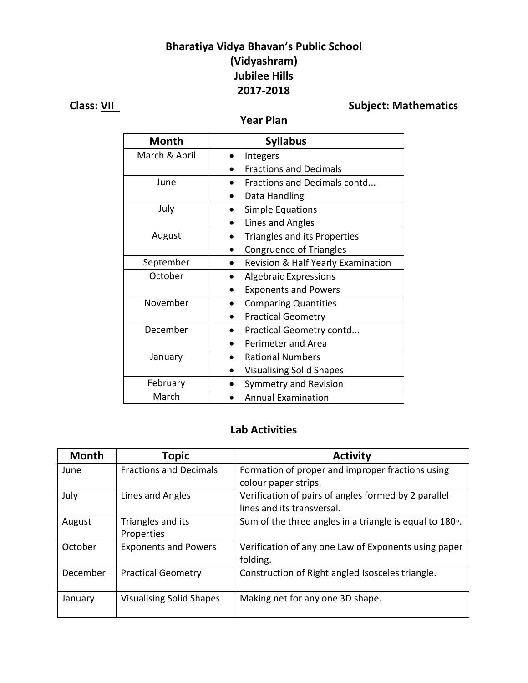## **Bharatiya Vidya Bhavan's Public School (Vidyashram) Jubilee Hills 2017-2018**

**Class:** <u>VII</u> **Class:**  $\frac{V}{V}$  **Class:**  $\frac{V}{V}$  **Subject:** Mathematics

**Year Plan**

| <b>Month</b>  | <b>Syllabus</b>                    |
|---------------|------------------------------------|
| March & April | Integers                           |
|               | <b>Fractions and Decimals</b>      |
| June          | Fractions and Decimals contd       |
|               | Data Handling                      |
| July          | Simple Equations                   |
|               | Lines and Angles                   |
| August        | Triangles and its Properties       |
|               | <b>Congruence of Triangles</b>     |
| September     | Revision & Half Yearly Examination |
| October       | <b>Algebraic Expressions</b>       |
|               | <b>Exponents and Powers</b>        |
| November      | <b>Comparing Quantities</b>        |
|               | <b>Practical Geometry</b>          |
| December      | Practical Geometry contd           |
|               | Perimeter and Area                 |
| January       | <b>Rational Numbers</b>            |
|               | <b>Visualising Solid Shapes</b>    |
| February      | Symmetry and Revision              |
| March         | <b>Annual Examination</b>          |

#### **Lab Activities**

| <b>Month</b> | <b>Topic</b>                    | <b>Activity</b>                                                 |
|--------------|---------------------------------|-----------------------------------------------------------------|
| June         | <b>Fractions and Decimals</b>   | Formation of proper and improper fractions using                |
|              |                                 | colour paper strips.                                            |
| July         | Lines and Angles                | Verification of pairs of angles formed by 2 parallel            |
|              |                                 | lines and its transversal.                                      |
| August       | Triangles and its               | Sum of the three angles in a triangle is equal to $180^\circ$ . |
|              | Properties                      |                                                                 |
| October      | <b>Exponents and Powers</b>     | Verification of any one Law of Exponents using paper            |
|              |                                 | folding.                                                        |
| December     | <b>Practical Geometry</b>       | Construction of Right angled Isosceles triangle.                |
|              |                                 |                                                                 |
| January      | <b>Visualising Solid Shapes</b> | Making net for any one 3D shape.                                |
|              |                                 |                                                                 |